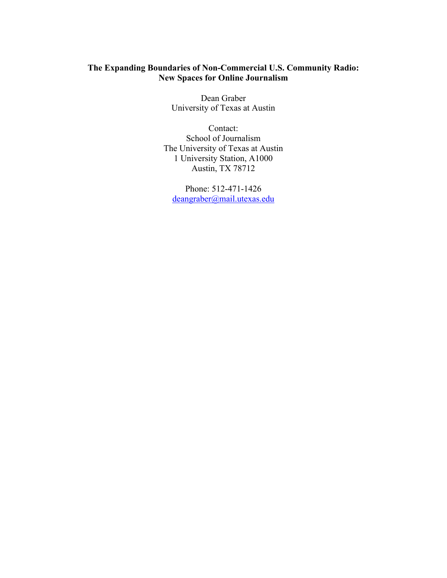## **The Expanding Boundaries of Non-Commercial U.S. Community Radio: New Spaces for Online Journalism**

Dean Graber University of Texas at Austin

Contact: School of Journalism The University of Texas at Austin 1 University Station, A1000 Austin, TX 78712

Phone: 512-471-1426 deangraber@mail.utexas.edu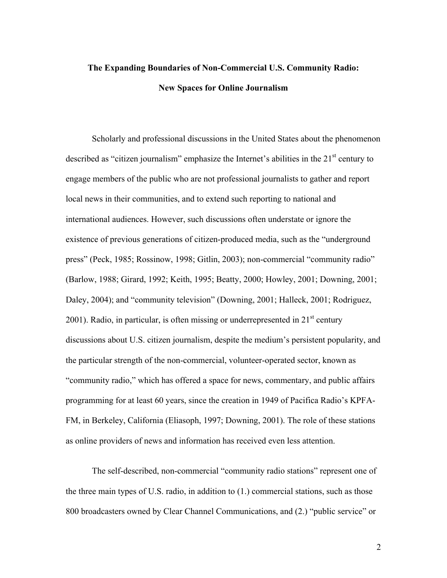## **The Expanding Boundaries of Non-Commercial U.S. Community Radio: New Spaces for Online Journalism**

Scholarly and professional discussions in the United States about the phenomenon described as "citizen journalism" emphasize the Internet's abilities in the  $21<sup>st</sup>$  century to engage members of the public who are not professional journalists to gather and report local news in their communities, and to extend such reporting to national and international audiences. However, such discussions often understate or ignore the existence of previous generations of citizen-produced media, such as the "underground press" (Peck, 1985; Rossinow, 1998; Gitlin, 2003); non-commercial "community radio" (Barlow, 1988; Girard, 1992; Keith, 1995; Beatty, 2000; Howley, 2001; Downing, 2001; Daley, 2004); and "community television" (Downing, 2001; Halleck, 2001; Rodriguez, 2001). Radio, in particular, is often missing or underrepresented in  $21<sup>st</sup>$  century discussions about U.S. citizen journalism, despite the medium's persistent popularity, and the particular strength of the non-commercial, volunteer-operated sector, known as "community radio," which has offered a space for news, commentary, and public affairs programming for at least 60 years, since the creation in 1949 of Pacifica Radio's KPFA-FM, in Berkeley, California (Eliasoph, 1997; Downing, 2001). The role of these stations as online providers of news and information has received even less attention.

The self-described, non-commercial "community radio stations" represent one of the three main types of U.S. radio, in addition to (1.) commercial stations, such as those 800 broadcasters owned by Clear Channel Communications, and (2.) "public service" or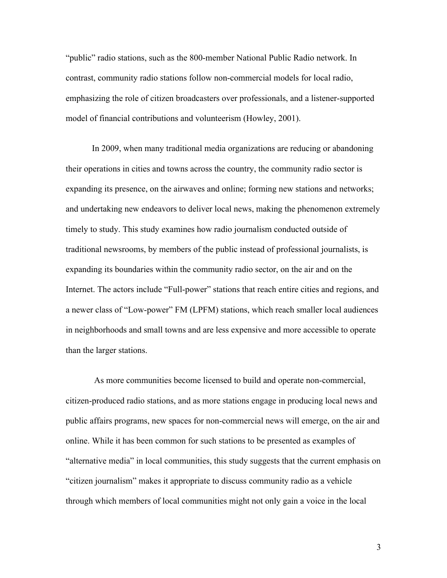"public" radio stations, such as the 800-member National Public Radio network. In contrast, community radio stations follow non-commercial models for local radio, emphasizing the role of citizen broadcasters over professionals, and a listener-supported model of financial contributions and volunteerism (Howley, 2001).

In 2009, when many traditional media organizations are reducing or abandoning their operations in cities and towns across the country, the community radio sector is expanding its presence, on the airwaves and online; forming new stations and networks; and undertaking new endeavors to deliver local news, making the phenomenon extremely timely to study. This study examines how radio journalism conducted outside of traditional newsrooms, by members of the public instead of professional journalists, is expanding its boundaries within the community radio sector, on the air and on the Internet. The actors include "Full-power" stations that reach entire cities and regions, and a newer class of "Low-power" FM (LPFM) stations, which reach smaller local audiences in neighborhoods and small towns and are less expensive and more accessible to operate than the larger stations.

 As more communities become licensed to build and operate non-commercial, citizen-produced radio stations, and as more stations engage in producing local news and public affairs programs, new spaces for non-commercial news will emerge, on the air and online. While it has been common for such stations to be presented as examples of "alternative media" in local communities, this study suggests that the current emphasis on "citizen journalism" makes it appropriate to discuss community radio as a vehicle through which members of local communities might not only gain a voice in the local

3